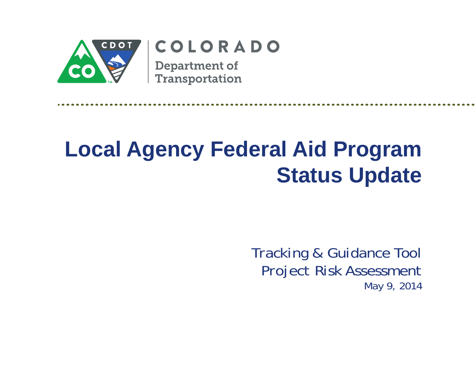

## COLORADO

**Department of** Transportation

## **Local Agency Federal Aid Program Status Update**

*Tracking & Guidance Tool Project Risk Assessment May 9, 2014*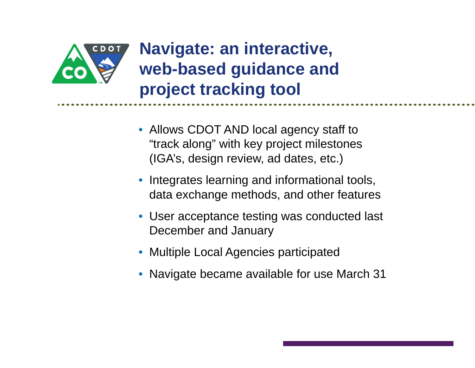

## **Navigate: an interactive, web-based guidance and project tracking tool**

- Allows CDOT AND local agency staff to "track along" with key project milestones (IGA's, design review, ad dates, etc.)
- • Integrates learning and informational tools, data exchange methods, and other features
- User acceptance testing was conducted last December and January
- Multiple Local Agencies participated
- Navigate became available for use March 31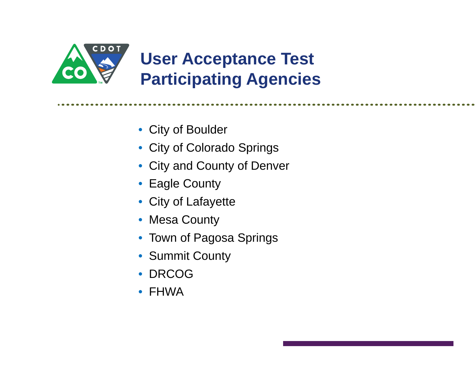

- City of Boulder
- City of Colorado Springs
- City and County of Denver
- Eagle County
- City of Lafayette
- Mesa County
- Town of Pagosa Springs
- Summit County
- DRCOG
- FHWA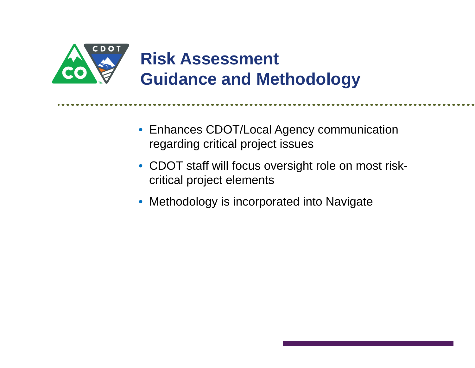

- Enhances CDOT/Local Agency communication regarding critical project issues
- CDOT staff will focus oversight role on most riskcritical project elements
- Methodology is incorporated into Navigate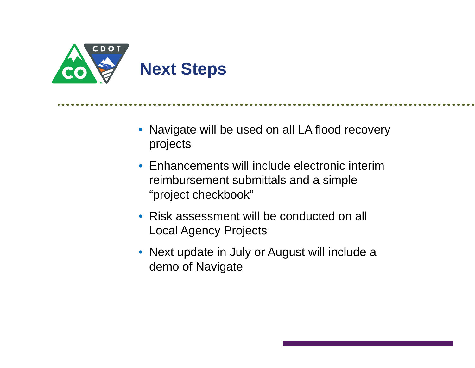

• Navigate will be used on all LA flood recovery projects

- Enhancements will include electronic interim reimbursement submittals and a simple "project checkbook"
- Risk assessment will be conducted on all Local Agency Projects
- Next update in July or August will include a demo of Navigate